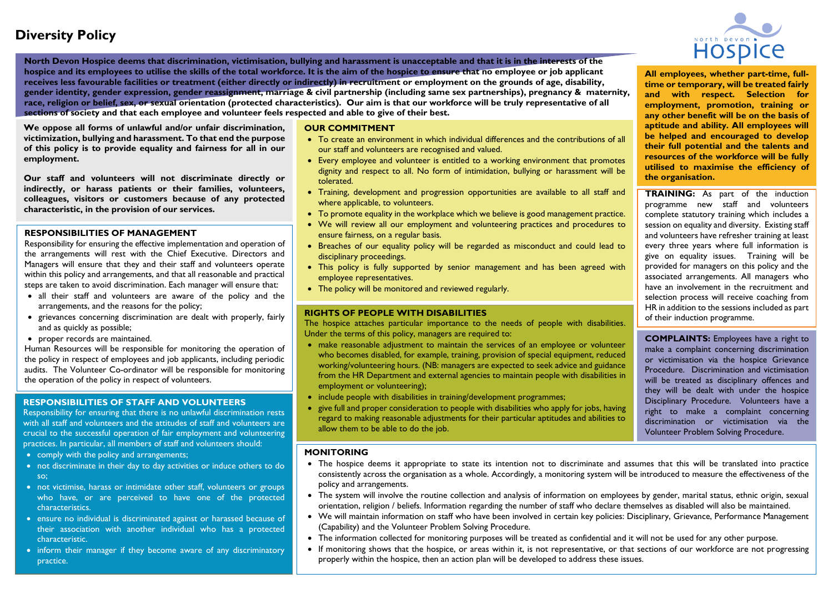# **Diversity Policy**



**North Devon Hospice deems that discrimination, victimisation, bullying and harassment is unacceptable and that it is in the interests of the hospice and its employees to utilise the skills of the total workforce. It is the aim of the hospice to ensure that no employee or job applicant receives less favourable facilities or treatment (either directly or indirectly) in recruitment or employment on the grounds of age, disability, gender identity, gender expression, gender reassignment, marriage & civil partnership (including same sex partnerships), pregnancy & maternity, race, religion or belief, sex, or sexual orientation (protected characteristics). Our aim is that our workforce will be truly representative of all sections of society and that each employee and volunteer feels respected and able to give of their best.**

**We oppose all forms of unlawful and/or unfair discrimination, victimization, bullying and harassment. To that end the purpose of this policy is to provide equality and fairness for all in our employment.**

**Our staff and volunteers will not discriminate directly or indirectly, or harass patients or their families, volunteers, colleagues, visitors or customers because of any protected characteristic, in the provision of our services.**

## **RESPONSIBILITIES OF MANAGEMENT**

Responsibility for ensuring the effective implementation and operation of the arrangements will rest with the Chief Executive. Directors and Managers will ensure that they and their staff and volunteers operate within this policy and arrangements, and that all reasonable and practical steps are taken to avoid discrimination. Each manager will ensure that:

- all their staff and volunteers are aware of the policy and the arrangements, and the reasons for the policy;
- grievances concerning discrimination are dealt with properly, fairly and as quickly as possible;
- proper records are maintained.

Human Resources will be responsible for monitoring the operation of the policy in respect of employees and job applicants, including periodic audits. The Volunteer Co-ordinator will be responsible for monitoring the operation of the policy in respect of volunteers.

### **RESPONSIBILITIES OF STAFF AND VOLUNTEERS**

Responsibility for ensuring that there is no unlawful discrimination rests with all staff and volunteers and the attitudes of staff and volunteers are crucial to the successful operation of fair employment and volunteering practices. In particular, all members of staff and volunteers should:

- comply with the policy and arrangements;
- not discriminate in their day to day activities or induce others to do so;
- not victimise, harass or intimidate other staff, volunteers or groups who have, or are perceived to have one of the protected characteristics.
- ensure no individual is discriminated against or harassed because of their association with another individual who has a protected characteristic.
- inform their manager if they become aware of any discriminatory practice.

#### **OUR COMMITMENT**

- To create an environment in which individual differences and the contributions of all our staff and volunteers are recognised and valued.
- Every employee and volunteer is entitled to a working environment that promotes dignity and respect to all. No form of intimidation, bullying or harassment will be tolerated.
- Training, development and progression opportunities are available to all staff and where applicable, to volunteers.
- To promote equality in the workplace which we believe is good management practice.
- We will review all our employment and volunteering practices and procedures to ensure fairness, on a regular basis.
- Breaches of our equality policy will be regarded as misconduct and could lead to disciplinary proceedings.
- This policy is fully supported by senior management and has been agreed with employee representatives.
- The policy will be monitored and reviewed regularly.

#### **RIGHTS OF PEOPLE WITH DISABILITIES**

The hospice attaches particular importance to the needs of people with disabilities. Under the terms of this policy, managers are required to:

- make reasonable adjustment to maintain the services of an employee or volunteer who becomes disabled, for example, training, provision of special equipment, reduced working/volunteering hours. (NB: managers are expected to seek advice and guidance from the HR Department and external agencies to maintain people with disabilities in employment or volunteering);
- include people with disabilities in training/development programmes;
- give full and proper consideration to people with disabilities who apply for jobs, having regard to making reasonable adjustments for their particular aptitudes and abilities to allow them to be able to do the job.

#### **MONITORING**

- The hospice deems it appropriate to state its intention not to discriminate and assumes that this will be translated into practice consistently across the organisation as a whole. Accordingly, a monitoring system will be introduced to measure the effectiveness of the policy and arrangements.
- The system will involve the routine collection and analysis of information on employees by gender, marital status, ethnic origin, sexual orientation, religion / beliefs. Information regarding the number of staff who declare themselves as disabled will also be maintained.
- We will maintain information on staff who have been involved in certain key policies: Disciplinary, Grievance, Performance Management (Capability) and the Volunteer Problem Solving Procedure.
- The information collected for monitoring purposes will be treated as confidential and it will not be used for any other purpose.
- If monitoring shows that the hospice, or areas within it, is not representative, or that sections of our workforce are not progressing properly within the hospice, then an action plan will be developed to address these issues.

**All employees, whether part-time, fulltime or temporary, will be treated fairly and with respect. Selection for employment, promotion, training or any other benefit will be on the basis of aptitude and ability. All employees will be helped and encouraged to develop their full potential and the talents and resources of the workforce will be fully utilised to maximise the efficiency of the organisation.**

**TRAINING:** As part of the induction programme new staff and volunteers complete statutory training which includes a session on equality and diversity. Existing staff and volunteers have refresher training at least every three years where full information is give on equality issues. Training will be provided for managers on this policy and the associated arrangements. All managers who have an involvement in the recruitment and selection process will receive coaching from HR in addition to the sessions included as part of their induction programme.

**COMPLAINTS:** Employees have a right to make a complaint concerning discrimination or victimisation via the hospice Grievance Procedure. Discrimination and victimisation will be treated as disciplinary offences and they will be dealt with under the hospice Disciplinary Procedure. Volunteers have a right to make a complaint concerning discrimination or victimisation via the Volunteer Problem Solving Procedure.